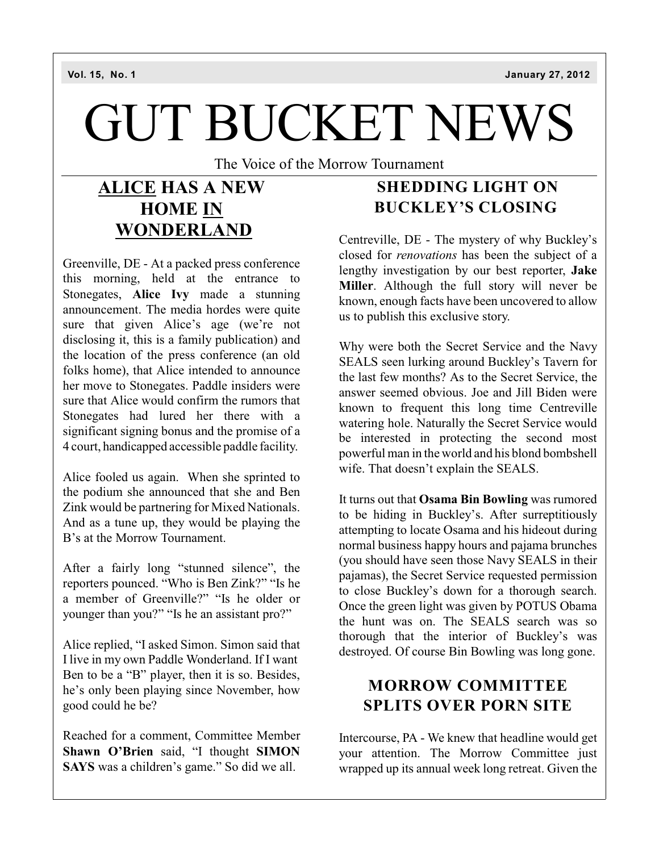# GUT BUCKET NEWS

The Voice of the Morrow Tournament

## **ALICE HAS A NEW HOME IN WONDERLAND**

Greenville, DE - At a packed press conference this morning, held at the entrance to Stonegates, **Alice Ivy** made a stunning announcement. The media hordes were quite sure that given Alice's age (we're not disclosing it, this is a family publication) and the location of the press conference (an old folks home), that Alice intended to announce her move to Stonegates. Paddle insiders were sure that Alice would confirm the rumors that Stonegates had lured her there with a significant signing bonus and the promise of a 4 court, handicapped accessible paddle facility.

Alice fooled us again. When she sprinted to the podium she announced that she and Ben Zink would be partnering for Mixed Nationals. And as a tune up, they would be playing the B's at the Morrow Tournament.

After a fairly long "stunned silence", the reporters pounced. "Who is Ben Zink?" "Is he a member of Greenville?" "Is he older or younger than you?" "Is he an assistant pro?"

Alice replied, "I asked Simon. Simon said that I live in my own Paddle Wonderland. If I want Ben to be a "B" player, then it is so. Besides, he's only been playing since November, how good could he be?

Reached for a comment, Committee Member **Shawn O'Brien** said, "I thought **SIMON SAYS** was a children's game." So did we all.

## **SHEDDING LIGHT ON BUCKLEY'S CLOSING**

Centreville, DE - The mystery of why Buckley's closed for *renovations* has been the subject of a lengthy investigation by our best reporter, **Jake Miller**. Although the full story will never be known, enough facts have been uncovered to allow us to publish this exclusive story.

Why were both the Secret Service and the Navy SEALS seen lurking around Buckley's Tavern for the last few months? As to the Secret Service, the answer seemed obvious. Joe and Jill Biden were known to frequent this long time Centreville watering hole. Naturally the Secret Service would be interested in protecting the second most powerful man in the world and his blond bombshell wife. That doesn't explain the SEALS.

It turns out that **Osama Bin Bowling** was rumored to be hiding in Buckley's. After surreptitiously attempting to locate Osama and his hideout during normal business happy hours and pajama brunches (you should have seen those Navy SEALS in their pajamas), the Secret Service requested permission to close Buckley's down for a thorough search. Once the green light was given by POTUS Obama the hunt was on. The SEALS search was so thorough that the interior of Buckley's was destroyed. Of course Bin Bowling was long gone.

#### **MORROW COMMITTEE SPLITS OVER PORN SITE**

Intercourse, PA - We knew that headline would get your attention. The Morrow Committee just wrapped up its annual week long retreat. Given the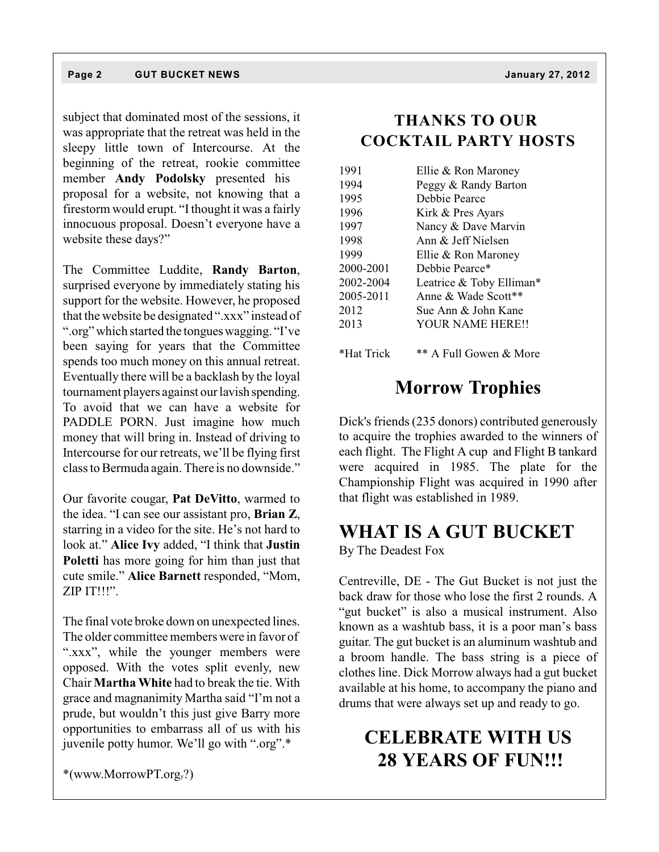#### **Page 2 GUT BUCKET NEWS January 27, 2012**

subject that dominated most of the sessions, it was appropriate that the retreat was held in the sleepy little town of Intercourse. At the beginning of the retreat, rookie committee member **Andy Podolsky** presented his proposal for a website, not knowing that a firestorm would erupt. "Ithought it was a fairly innocuous proposal. Doesn't everyone have a website these days?"

The Committee Luddite, **Randy Barton**, surprised everyone by immediately stating his support for the website. However, he proposed that the website be designated ".xxx" instead of ".org" which started the tongueswagging. "I've been saying for years that the Committee spends too much money on this annual retreat. Eventually there will be a backlash by the loyal tournament players against our lavish spending. To avoid that we can have a website for PADDLE PORN. Just imagine how much money that will bring in. Instead of driving to Intercourse for our retreats, we'll be flying first class to Bermuda again. There is no downside."

Our favorite cougar, **Pat DeVitto**, warmed to the idea. "I can see our assistant pro, **Brian Z**, starring in a video for the site. He's not hard to look at." **Alice Ivy** added, "I think that **Justin Poletti** has more going for him than just that cute smile." **Alice Barnett** responded, "Mom, ZIP IT!!!".

The final vote broke down on unexpected lines. The older committee members were in favor of ".xxx", while the younger members were opposed. With the votes split evenly, new Chair **Martha White** had to break the tie. With grace and magnanimity Martha said "I'm not a prude, but wouldn't this just give Barry more opportunities to embarrass all of us with his juvenile potty humor. We'll go with ".org".\*

\*(www.MorrowPT.orgy?)

#### **THANKS TO OUR COCKTAIL PARTY HOSTS**

| 1991       | Ellie & Ron Maroney      |
|------------|--------------------------|
| 1994       | Peggy & Randy Barton     |
| 1995       | Debbie Pearce            |
| 1996       | Kirk & Pres Ayars        |
| 1997       | Nancy & Dave Marvin      |
| 1998       | Ann $\&$ Jeff Nielsen    |
| 1999       | Ellie & Ron Maroney      |
| 2000-2001  | Debbie Pearce*           |
| 2002-2004  | Leatrice & Toby Elliman* |
| 2005-2011  | Anne & Wade Scott**      |
| 2012       | Sue Ann & John Kane      |
| 2013       | YOUR NAME HERE!!         |
|            |                          |
| *Hat Trick | ** A Full Gowen & More   |

## **Morrow Trophies**

Dick's friends (235 donors) contributed generously to acquire the trophies awarded to the winners of each flight. The Flight A cup and Flight B tankard were acquired in 1985. The plate for the Championship Flight was acquired in 1990 after that flight was established in 1989.

#### **WHAT IS A GUT BUCKET**

By The Deadest Fox

Centreville, DE - The Gut Bucket is not just the back draw for those who lose the first 2 rounds. A "gut bucket" is also a musical instrument. Also known as a washtub bass, it is a poor man's bass guitar. The gut bucket is an aluminum washtub and a broom handle. The bass string is a piece of clothes line. Dick Morrow always had a gut bucket available at his home, to accompany the piano and drums that were always set up and ready to go.

# **CELEBRATE WITH US 28 YEARS OF FUN!!!**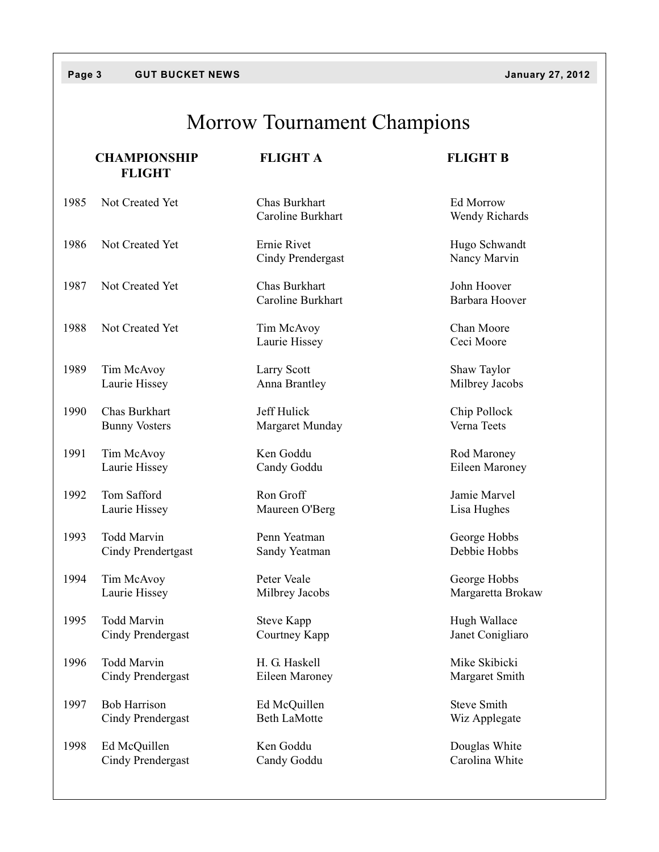#### **Page 3 GUT BUCKET NEWS January 27, 2012**

# Morrow Tournament Champions

|      | <b>CHAMPIONSHIP</b><br><b>FLIGHT</b> | <b>FLIGHT A</b>                    | <b>FLIGHT B</b>               |
|------|--------------------------------------|------------------------------------|-------------------------------|
| 1985 | Not Created Yet                      | Chas Burkhart<br>Caroline Burkhart | Ed Morrow<br>Wendy Richards   |
| 1986 | Not Created Yet                      | Ernie Rivet<br>Cindy Prendergast   | Hugo Schwandt<br>Nancy Marvin |
| 1987 | Not Created Yet                      | Chas Burkhart<br>Caroline Burkhart | John Hoover<br>Barbara Hoover |
| 1988 | Not Created Yet                      | Tim McAvoy<br>Laurie Hissey        | Chan Moore<br>Ceci Moore      |
| 1989 | Tim McAvoy                           | Larry Scott                        | Shaw Taylor                   |
|      | Laurie Hissey                        | Anna Brantley                      | Milbrey Jacobs                |
| 1990 | Chas Burkhart                        | Jeff Hulick                        | Chip Pollock                  |
|      | <b>Bunny Vosters</b>                 | Margaret Munday                    | Verna Teets                   |
| 1991 | Tim McAvoy                           | Ken Goddu                          | Rod Maroney                   |
|      | Laurie Hissey                        | Candy Goddu                        | Eileen Maroney                |
| 1992 | Tom Safford                          | Ron Groff                          | Jamie Marvel                  |
|      | Laurie Hissey                        | Maureen O'Berg                     | Lisa Hughes                   |
| 1993 | <b>Todd Marvin</b>                   | Penn Yeatman                       | George Hobbs                  |
|      | Cindy Prendertgast                   | Sandy Yeatman                      | Debbie Hobbs                  |
| 1994 | Tim McAvoy                           | Peter Veale                        | George Hobbs                  |
|      | Laurie Hissey                        | Milbrey Jacobs                     | Margaretta Brokaw             |
| 1995 | <b>Todd Marvin</b>                   | <b>Steve Kapp</b>                  | Hugh Wallace                  |
|      | <b>Cindy Prendergast</b>             | Courtney Kapp                      | Janet Conigliaro              |
| 1996 | Todd Marvin                          | H. G. Haskell                      | Mike Skibicki                 |
|      | Cindy Prendergast                    | Eileen Maroney                     | Margaret Smith                |
| 1997 | <b>Bob Harrison</b>                  | Ed McQuillen                       | <b>Steve Smith</b>            |
|      | Cindy Prendergast                    | <b>Beth LaMotte</b>                | Wiz Applegate                 |
| 1998 | Ed McQuillen                         | Ken Goddu                          | Douglas White                 |
|      | <b>Cindy Prendergast</b>             | Candy Goddu                        | Carolina White                |